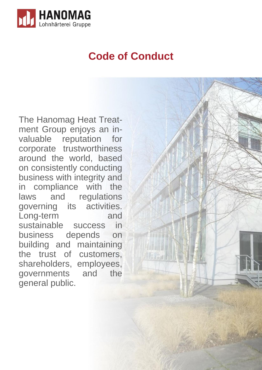

# **Code of Conduct**

min

a ini

163% d

The Hanomag Heat Treatment Group enjoys an invaluable reputation for corporate trustworthiness around the world, based on consistently conducting business with integrity and in compliance with the laws and regulations governing its activities. Long-term and sustainable success in business depends on building and maintaining the trust of customers, shareholders, employees, governments and the general public.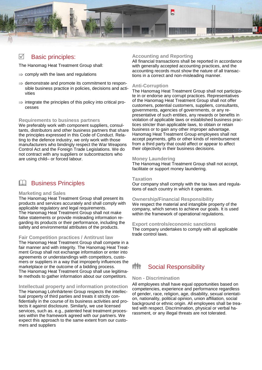

#### Basic principles:  $\triangledown$

The Hanomag Heat Treatment Group shall:

- $\Rightarrow$  comply with the laws and regulations
- $\Rightarrow$  demonstrate and promote its commitment to responsible business practice in policies, decisions and activities
- $\Rightarrow$  integrate the principles of this policy into critical processes

### **Requirements to business partners**

We preferably work with component suppliers, consultants, distributors and other business partners that share the principles expressed in this Code of Conduct. Relating to the defence industry, we only work with those manufacturers who bindingly respect the War Weapons Control Act and the Foreign Trade Legislations. We do not contract with any suppliers or subcontractors who are using child– or forced labour.

### **LL** Business Principles

### **Marketing and Sales**

The Hanomag Heat Treatment Group shall present its products and services accurately and shall comply with applicable regulatory and legal requirements. The Hanomag Heat Treatment Group shall not make false statements or provide misleading information regarding its products or their performance, including the safety and environmental attributes of the products.

### **Fair Competition practices / Antitrust law**

The Hanomag Heat Treatment Group shall compete in a fair manner and with integrity. The Hanomag Heat Treatment Group shall not exchange information or enter into agreements or understandings with competitors, customers or suppliers in a way that improperly influences the marketplace or the outcome of a bidding process. The Hanomag Heat Treatment Group shall use legitimate methods to gather information about our competitors.

### **Intellectual property and information protection**

The Hanomag Lohnhärterei Group respects the intellectual property of third parties and treats it strictly confidentially in the course of its business activities and protects it against disclosure. Similarly, we use licensed services, such as. e.g., patented heat treatment processes within the framework agreed with our partners. We expect this approach to the same extent from our customers and suppliers

### **Accounting and Reporting**

All financial transactions shall be reported in accordance with generally accepted accounting practices, and the accounting records must show the nature of all transactions in a correct and non-misleading manner.

### **Anti-Corruption**

The Hanomag Heat Treatment Group shall not participate in or endorse any corrupt practices. Representatives of the Hanomag Heat Treatment Group shall not offer customers, potential customers, suppliers, consultants, governments, agencies of governments, or any representative of such entities, any rewards or benefits in violation of applicable laws or established business practices stricter than applicable laws, to obtain or retain business or to gain any other improper advantage. Hanomag Heat Treatment Group employees shall not accept payments, gifts or other kinds of reimbursement from a third party that could affect or appear to affect their objectivity in their business decisions.

### **Money Laundering**

The Hanomag Heat Treatment Group shall not accept, facilitate or support money laundering.

### **Taxation**

Our company shall comply with the tax laws and regulations of each country in which it operates.

### **Ownership/Financial Responsibility**

We respect the material and intangible property of the company, which serves to achieve our goals. It is used within the framework of operational regulations.

### **Export controls/economic sanctions**

The company undertakes to comply with all applicable trade control laws.

### Social Responsibility

### **Non - Discrimination**

All employees shall have equal opportunities based on competencies, experience and performance regardless of gender, race, religion, age, disability, sexual orientation, nationality, political opinion, union affiliation, social background or ethnic origin. All employees shall be treated with respect. Discrimination, physical or verbal harassment, or any illegal threats are not tolerated.